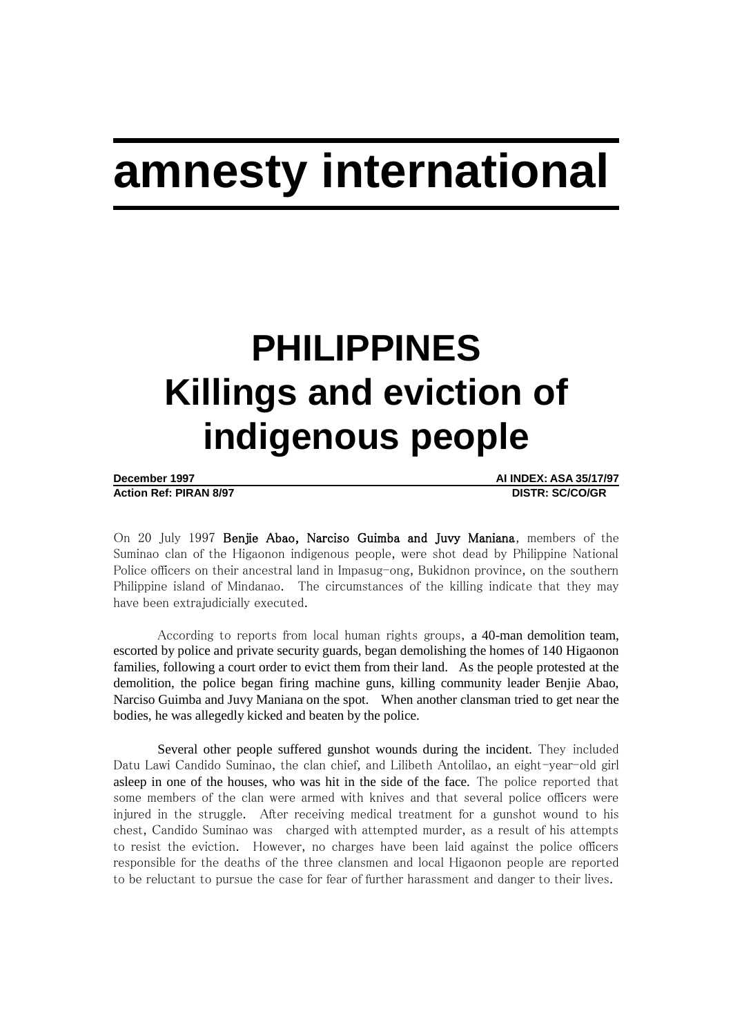# **amnesty international**

# **PHILIPPINES Killings and eviction of indigenous people**

**Action Ref: PIRAN 8/97 DISTR: SC/CO/GR**

**December 1997 AI INDEX: ASA 35/17/97**

On 20 July 1997 Benjie Abao, Narciso Guimba and Juvy Maniana, members of the Suminao clan of the Higaonon indigenous people, were shot dead by Philippine National Police officers on their ancestral land in Impasug-ong, Bukidnon province, on the southern Philippine island of Mindanao. The circumstances of the killing indicate that they may have been extrajudicially executed.

According to reports from local human rights groups, a 40-man demolition team, escorted by police and private security guards, began demolishing the homes of 140 Higaonon families, following a court order to evict them from their land. As the people protested at the demolition, the police began firing machine guns, killing community leader Benjie Abao, Narciso Guimba and Juvy Maniana on the spot. When another clansman tried to get near the bodies, he was allegedly kicked and beaten by the police.

Several other people suffered gunshot wounds during the incident. They included Datu Lawi Candido Suminao, the clan chief, and Lilibeth Antolilao, an eight-year-old girl asleep in one of the houses, who was hit in the side of the face. The police reported that some members of the clan were armed with knives and that several police officers were injured in the struggle. After receiving medical treatment for a gunshot wound to his chest, Candido Suminao was charged with attempted murder, as a result of his attempts to resist the eviction. However, no charges have been laid against the police officers responsible for the deaths of the three clansmen and local Higaonon people are reported to be reluctant to pursue the case for fear of further harassment and danger to their lives.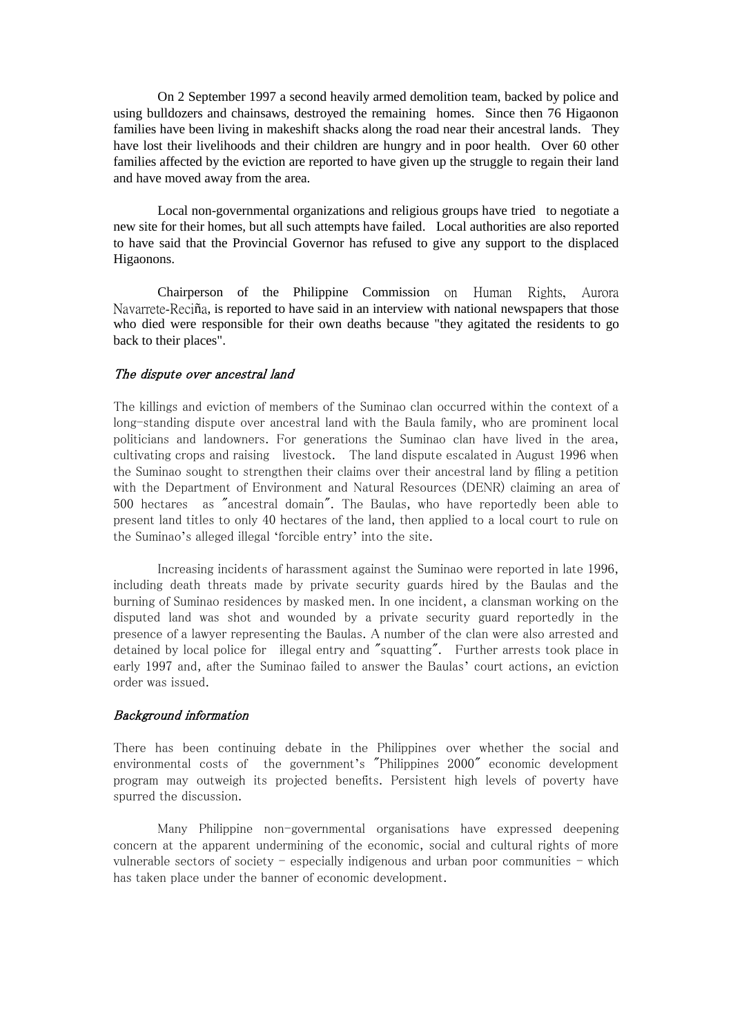On 2 September 1997 a second heavily armed demolition team, backed by police and using bulldozers and chainsaws, destroyed the remaining homes. Since then 76 Higaonon families have been living in makeshift shacks along the road near their ancestral lands. They have lost their livelihoods and their children are hungry and in poor health. Over 60 other families affected by the eviction are reported to have given up the struggle to regain their land and have moved away from the area.

Local non-governmental organizations and religious groups have tried to negotiate a new site for their homes, but all such attempts have failed. Local authorities are also reported to have said that the Provincial Governor has refused to give any support to the displaced Higaonons.

Chairperson of the Philippine Commission on Human Rights, Aurora Navarrete-Reciña, is reported to have said in an interview with national newspapers that those who died were responsible for their own deaths because "they agitated the residents to go back to their places".

# The dispute over ancestral land

The killings and eviction of members of the Suminao clan occurred within the context of a long-standing dispute over ancestral land with the Baula family, who are prominent local politicians and landowners. For generations the Suminao clan have lived in the area, cultivating crops and raising livestock. The land dispute escalated in August 1996 when the Suminao sought to strengthen their claims over their ancestral land by filing a petition with the Department of Environment and Natural Resources (DENR) claiming an area of 500 hectares as "ancestral domain". The Baulas, who have reportedly been able to present land titles to only 40 hectares of the land, then applied to a local court to rule on the Suminao's alleged illegal 'forcible entry' into the site.

Increasing incidents of harassment against the Suminao were reported in late 1996, including death threats made by private security guards hired by the Baulas and the burning of Suminao residences by masked men. In one incident, a clansman working on the disputed land was shot and wounded by a private security guard reportedly in the presence of a lawyer representing the Baulas. A number of the clan were also arrested and detained by local police for illegal entry and "squatting". Further arrests took place in early 1997 and, after the Suminao failed to answer the Baulas' court actions, an eviction order was issued.

### Background information

There has been continuing debate in the Philippines over whether the social and environmental costs of the government's "Philippines 2000" economic development program may outweigh its projected benefits. Persistent high levels of poverty have spurred the discussion.

Many Philippine non-governmental organisations have expressed deepening concern at the apparent undermining of the economic, social and cultural rights of more vulnerable sectors of society  $-$  especially indigenous and urban poor communities  $-$  which has taken place under the banner of economic development.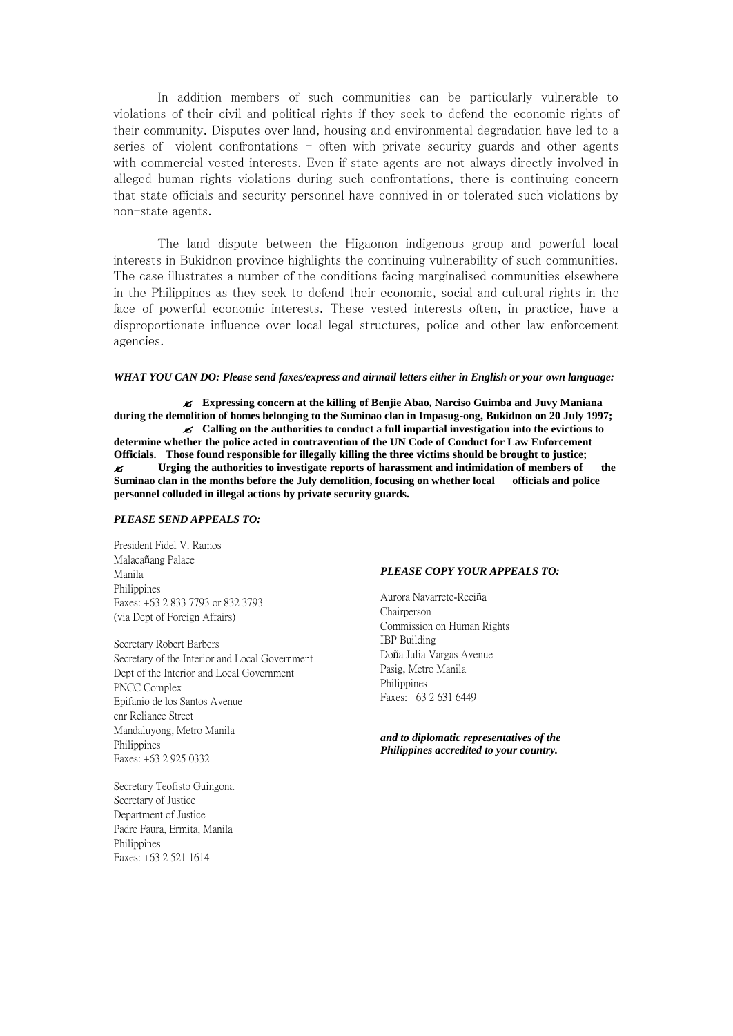In addition members of such communities can be particularly vulnerable to violations of their civil and political rights if they seek to defend the economic rights of their community. Disputes over land, housing and environmental degradation have led to a series of violent confrontations - often with private security guards and other agents with commercial vested interests. Even if state agents are not always directly involved in alleged human rights violations during such confrontations, there is continuing concern that state officials and security personnel have connived in or tolerated such violations by non-state agents.

The land dispute between the Higaonon indigenous group and powerful local interests in Bukidnon province highlights the continuing vulnerability of such communities. The case illustrates a number of the conditions facing marginalised communities elsewhere in the Philippines as they seek to defend their economic, social and cultural rights in the face of powerful economic interests. These vested interests often, in practice, have a disproportionate influence over local legal structures, police and other law enforcement agencies.

#### *WHAT YOU CAN DO: Please send faxes/express and airmail letters either in English or your own language:*

 **Expressing concern at the killing of Benjie Abao, Narciso Guimba and Juvy Maniana during the demolition of homes belonging to the Suminao clan in Impasug-ong, Bukidnon on 20 July 1997; Calling on the authorities to conduct a full impartial investigation into the evictions to determine whether the police acted in contravention of the UN Code of Conduct for Law Enforcement Officials. Those found responsible for illegally killing the three victims should be brought to justice; Urging the authorities to investigate reports of harassment and intimidation of members of the Suminao clan in the months before the July demolition, focusing on whether local officials and police personnel colluded in illegal actions by private security guards.**

#### *PLEASE SEND APPEALS TO:*

President Fidel V. Ramos Malacañang Palace Manila Philippines Faxes: +63 2 833 7793 or 832 3793 (via Dept of Foreign Affairs)

Secretary Robert Barbers Secretary of the Interior and Local Government Dept of the Interior and Local Government PNCC Complex Epifanio de los Santos Avenue cnr Reliance Street Mandaluyong, Metro Manila Philippines Faxes: +63 2 925 0332

Secretary Teofisto Guingona Secretary of Justice Department of Justice Padre Faura, Ermita, Manila Philippines Faxes: +63 2 521 1614

#### *PLEASE COPY YOUR APPEALS TO:*

Aurora Navarrete-Reciña Chairperson Commission on Human Rights IBP Building Doña Julia Vargas Avenue Pasig, Metro Manila Philippines Faxes: +63 2 631 6449

*and to diplomatic representatives of the Philippines accredited to your country.*